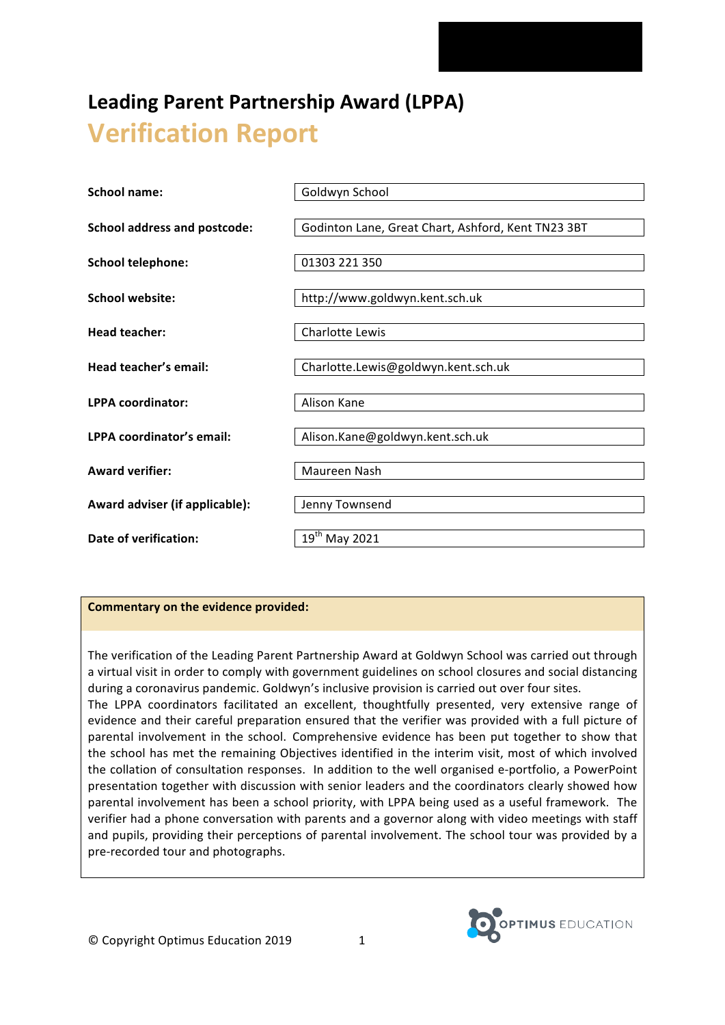# Leading Parent Partnership Award (LPPA) **Verification Report**

| School name:                        | Goldwyn School                                     |
|-------------------------------------|----------------------------------------------------|
| <b>School address and postcode:</b> | Godinton Lane, Great Chart, Ashford, Kent TN23 3BT |
| <b>School telephone:</b>            | 01303 221 350                                      |
| <b>School website:</b>              | http://www.goldwyn.kent.sch.uk                     |
| <b>Head teacher:</b>                | Charlotte Lewis                                    |
| Head teacher's email:               | Charlotte.Lewis@goldwyn.kent.sch.uk                |
| <b>LPPA coordinator:</b>            | Alison Kane                                        |
| LPPA coordinator's email:           | Alison.Kane@goldwyn.kent.sch.uk                    |
| <b>Award verifier:</b>              | Maureen Nash                                       |
| Award adviser (if applicable):      | Jenny Townsend                                     |
| Date of verification:               | 19 <sup>th</sup> May 2021                          |

# **Commentary on the evidence provided:**

The verification of the Leading Parent Partnership Award at Goldwyn School was carried out through a virtual visit in order to comply with government guidelines on school closures and social distancing during a coronavirus pandemic. Goldwyn's inclusive provision is carried out over four sites.

The LPPA coordinators facilitated an excellent, thoughtfully presented, very extensive range of evidence and their careful preparation ensured that the verifier was provided with a full picture of parental involvement in the school. Comprehensive evidence has been put together to show that the school has met the remaining Objectives identified in the interim visit, most of which involved the collation of consultation responses. In addition to the well organised e-portfolio, a PowerPoint presentation together with discussion with senior leaders and the coordinators clearly showed how parental involvement has been a school priority, with LPPA being used as a useful framework. The verifier had a phone conversation with parents and a governor along with video meetings with staff and pupils, providing their perceptions of parental involvement. The school tour was provided by a pre-recorded tour and photographs.

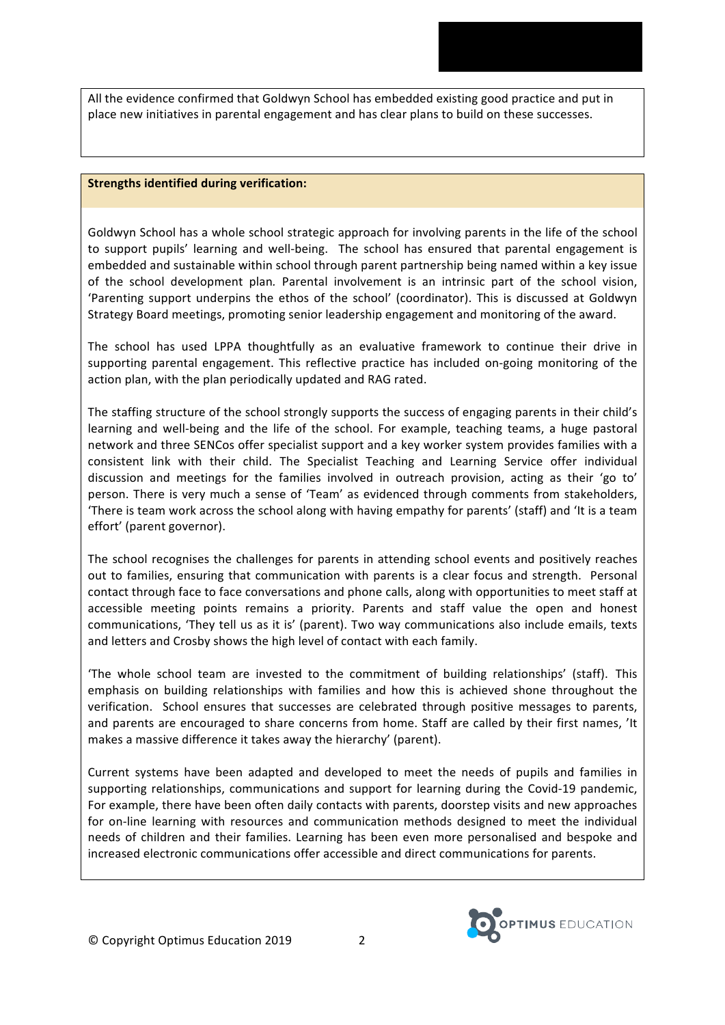All the evidence confirmed that Goldwyn School has embedded existing good practice and put in place new initiatives in parental engagement and has clear plans to build on these successes.

#### **Strengths identified during verification:**

Goldwyn School has a whole school strategic approach for involving parents in the life of the school to support pupils' learning and well-being. The school has ensured that parental engagement is embedded and sustainable within school through parent partnership being named within a key issue of the school development plan. Parental involvement is an intrinsic part of the school vision, 'Parenting support underpins the ethos of the school' (coordinator). This is discussed at Goldwyn Strategy Board meetings, promoting senior leadership engagement and monitoring of the award.

The school has used LPPA thoughtfully as an evaluative framework to continue their drive in supporting parental engagement. This reflective practice has included on-going monitoring of the action plan, with the plan periodically updated and RAG rated.

The staffing structure of the school strongly supports the success of engaging parents in their child's learning and well-being and the life of the school. For example, teaching teams, a huge pastoral network and three SENCos offer specialist support and a key worker system provides families with a consistent link with their child. The Specialist Teaching and Learning Service offer individual discussion and meetings for the families involved in outreach provision, acting as their 'go to' person. There is very much a sense of 'Team' as evidenced through comments from stakeholders, There is team work across the school along with having empathy for parents' (staff) and 'It is a team effort' (parent governor).

The school recognises the challenges for parents in attending school events and positively reaches out to families, ensuring that communication with parents is a clear focus and strength. Personal contact through face to face conversations and phone calls, along with opportunities to meet staff at accessible meeting points remains a priority. Parents and staff value the open and honest communications, 'They tell us as it is' (parent). Two way communications also include emails, texts and letters and Crosby shows the high level of contact with each family.

'The whole school team are invested to the commitment of building relationships' (staff). This emphasis on building relationships with families and how this is achieved shone throughout the verification. School ensures that successes are celebrated through positive messages to parents, and parents are encouraged to share concerns from home. Staff are called by their first names, 'It makes a massive difference it takes away the hierarchy' (parent).

Current systems have been adapted and developed to meet the needs of pupils and families in supporting relationships, communications and support for learning during the Covid-19 pandemic, For example, there have been often daily contacts with parents, doorstep visits and new approaches for on-line learning with resources and communication methods designed to meet the individual needs of children and their families. Learning has been even more personalised and bespoke and increased electronic communications offer accessible and direct communications for parents.

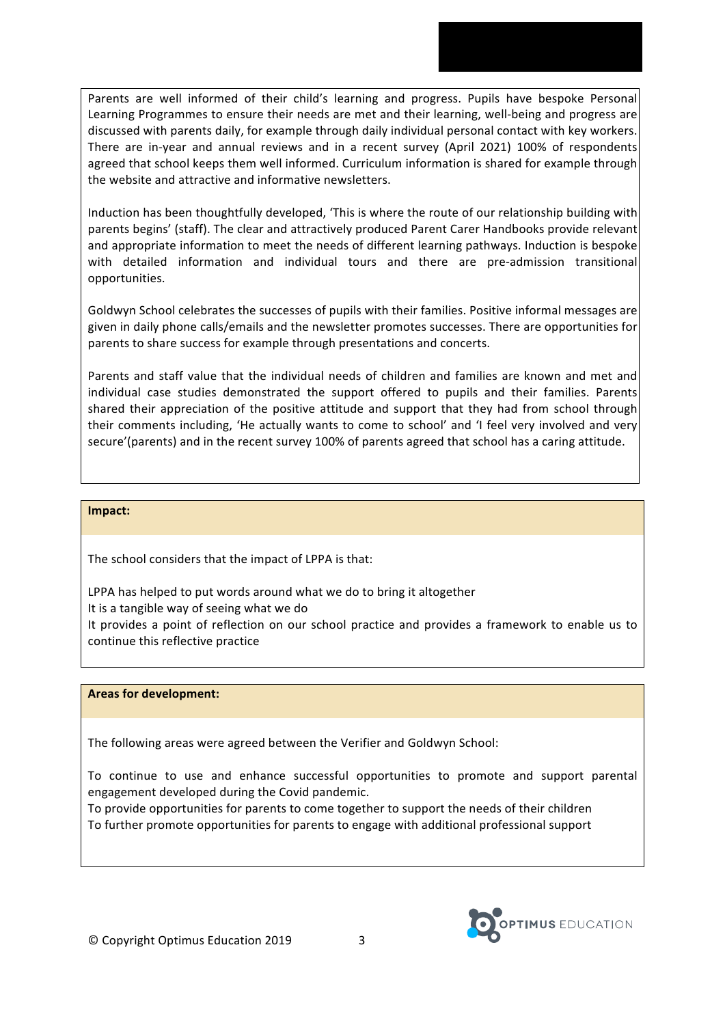Parents are well informed of their child's learning and progress. Pupils have bespoke Personal Learning Programmes to ensure their needs are met and their learning, well-being and progress are discussed with parents daily, for example through daily individual personal contact with key workers. There are in-year and annual reviews and in a recent survey (April 2021) 100% of respondents agreed that school keeps them well informed. Curriculum information is shared for example through the website and attractive and informative newsletters.

Induction has been thoughtfully developed, 'This is where the route of our relationship building with parents begins' (staff). The clear and attractively produced Parent Carer Handbooks provide relevant and appropriate information to meet the needs of different learning pathways. Induction is bespoke with detailed information and individual tours and there are pre-admission transitional opportunities.

Goldwyn School celebrates the successes of pupils with their families. Positive informal messages are given in daily phone calls/emails and the newsletter promotes successes. There are opportunities for parents to share success for example through presentations and concerts.

Parents and staff value that the individual needs of children and families are known and met and individual case studies demonstrated the support offered to pupils and their families. Parents shared their appreciation of the positive attitude and support that they had from school through their comments including, 'He actually wants to come to school' and 'I feel very involved and very secure'(parents) and in the recent survey 100% of parents agreed that school has a caring attitude.

## **Impact:**

The school considers that the impact of LPPA is that:

LPPA has helped to put words around what we do to bring it altogether

It is a tangible way of seeing what we do

It provides a point of reflection on our school practice and provides a framework to enable us to continue this reflective practice

## **Areas for development:**

The following areas were agreed between the Verifier and Goldwyn School:

To continue to use and enhance successful opportunities to promote and support parental engagement developed during the Covid pandemic.

To provide opportunities for parents to come together to support the needs of their children To further promote opportunities for parents to engage with additional professional support